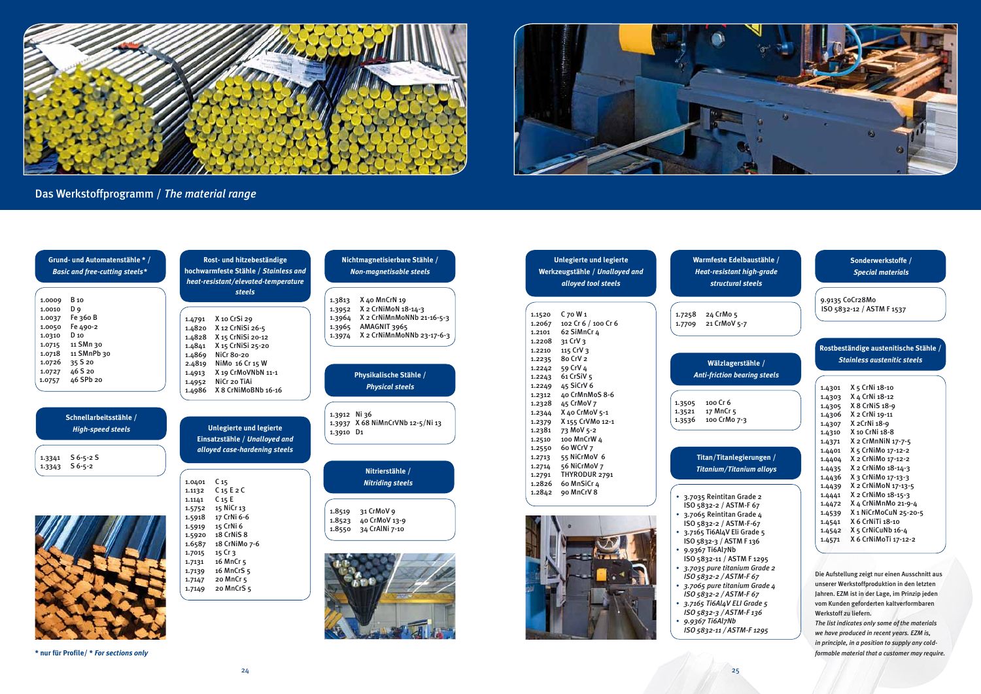



## Das Werkstoffprogramm / *The material range*

# 0V 5-7 lgerstähle / *Anti-friction bearing steels* tan Grade 2 ASTM-F 67 .<br>an Grade 4  $ASTM-F-67$ ASTM F 1295 • *3.7035 pure titanium Grade 2 ISO 5832-2 / ASTM-F 67* • *3.7065 pure titanium Grade 4 ISO 5832-2 / ASTM-F 67* **Titan/Titanlegierungen /** *Titanium/Titanium alloys* **Edelbaustähle /** *Heat-resistant high-grade structural steels*

| Grund- und Automatenstähle * /<br><b>Basic and free-cutting steels*</b>                                                                | Rost- und hitzebeständige<br>hochwarmfeste Stähle / Stainless and<br>heat-resistant/elevated-temperature                                               | Nichtmagnetisierbare Stähle /<br><b>Non-magnetisable steels</b>                                                                                                  | <b>Unlegierte und legierte</b><br>Werkzeugstähle / Unalloyed and<br>alloyed tool steels                                                                             | Warmfeste Edelbaustäl<br>Heat-resistant high-gro<br>structural steels                                                                                                                                                              |
|----------------------------------------------------------------------------------------------------------------------------------------|--------------------------------------------------------------------------------------------------------------------------------------------------------|------------------------------------------------------------------------------------------------------------------------------------------------------------------|---------------------------------------------------------------------------------------------------------------------------------------------------------------------|------------------------------------------------------------------------------------------------------------------------------------------------------------------------------------------------------------------------------------|
| <b>B</b> 10<br>1.0009<br>D <sub>9</sub><br>1.0010<br>Fe 360 B<br>1.0037<br>Fe 490-2<br>1.0050<br>D 10<br>1.0310<br>11 SMn 30<br>1.0715 | steels<br>X 10 CrSi 29<br>1.4791<br>X 12 CrNiSi 26-5<br>1.4820<br>X 15 CrNiSi 20-12<br>1.4828<br>X 15 CrNiSi 25-20<br>1.4841                           | X 40 MnCrN 19<br>1.3813<br>X 2 CrNiMoN 18-14-3<br>1.3952<br>X 2 CrNiMnMoNNb 21-16-5-3<br>1.3964<br>AMAGNIT 3965<br>1.3965<br>X 2 CrNiMnMoNNb 23-17-6-3<br>1.3974 | $C$ 70 W 1<br>1.1520<br>102 Cr 6 / 100 Cr 6<br>1.2067<br>62 SiMnCr 4<br>1.2101<br>31 CrV 3<br>1.2208                                                                | 24 CrMo 5<br>1.7258<br>21 CrMoV 5-7<br>1.7709                                                                                                                                                                                      |
| 11 SMnPb 30<br>1.0718<br>35 S 20<br>1.0726<br>46 S 20<br>1.0727<br>46 SPb 20<br>1.0757                                                 | <b>NiCr 80-20</b><br>1.4869<br>NiMo 16 Cr 15 W<br>2.4819<br>X 19 CrMoVNbN 11-1<br>1.4913<br>NiCr 20 TiAi<br>1.4952<br>1.4986 X 8 CrNiMoBNb 16-16       | Physikalische Stähle /<br><b>Physical steels</b>                                                                                                                 | 115 CrV 3<br>1.2210<br>80 CrV 2<br>1.2235<br>59 CrV 4<br>1.2242<br>61 CrSiV 5<br>1.2243<br>45 SiCrV 6<br>1.2249<br>40 CrMnMoS 8-6<br>1.2312<br>45 CrMoV 7<br>1.2328 | Wälzlagerstähle /<br><b>Anti-friction bearing std</b><br>100 Cr 6<br>1.3505                                                                                                                                                        |
| Schnellarbeitsstähle /<br><b>High-speed steels</b>                                                                                     | <b>Unlegierte und legierte</b><br>Einsatzstähle / Unalloyed and<br>alloyed case-hardening steels                                                       | 1.3912 Ni 36<br>1.3937 X 68 NiMnCrVNb 12-5/Ni 13<br>1.3910 D1                                                                                                    | X 40 CrMoV 5-1<br>1.2344<br>X 155 CrVMo 12-1<br>1.2379<br>73 MoV 5-2<br>1.2381<br>100 MnCrW 4<br>1.2510<br>60 WCrV 7<br>1.2550                                      | 17 MnCr 5<br>1.3521<br>100 CrMo 7-3<br>1.3536                                                                                                                                                                                      |
| $S_6 - 5 - 2S_$<br>1.3341<br>1.3343 S 6-5-2                                                                                            | C <sub>15</sub><br>1.0401<br>C <sub>15</sub> E <sub>2</sub> C<br>1.1132                                                                                | Nitrierstähle /<br><b>Nitriding steels</b>                                                                                                                       | 55 NiCrMoV 6<br>1.2713<br>56 NiCrMoV 7<br>1.2714<br>THYRODUR 2791<br>1.2791<br>60 MnSiCr 4<br>1.2826<br>1.2842 90 MnCrV 8                                           | <b>Titan/Titanlegierunge</b><br>Titanium/Titanium all                                                                                                                                                                              |
|                                                                                                                                        | C <sub>15</sub> E<br>1.1141<br>15 NiCr 13<br>1.5752<br>17 CrNi 6-6<br>1.5918<br>15 CrNi 6<br>1.5919<br>18 CrNiS 8<br>1.5920<br>18 CrNiMo 7-6<br>1.6587 | 31 CrMoV 9<br>1.8519<br>40 CrMoV 13-9<br>1.8523<br>34 CrAlNi 7-10<br>1.8550                                                                                      |                                                                                                                                                                     | • 3.7035 Reintitan Grade 2<br>ISO 5832-2 / ASTM-F 67<br>• 3.7065 Reintitan Grade 4<br>ISO 5832-2 / ASTM-F-67<br>• 3.7165 Ti6Al4V Eli Grade 5<br>ISO 5832-3 / ASTM F 136<br>• 9.9367 Ti6Al7Nb                                       |
|                                                                                                                                        | 15 Cr 3<br>1.7015<br>16 MnCr 5<br>1.7131<br>16 MnCrS 5<br>1.7139<br>20 MnCr 5<br>1.7147<br>20 MnCrS 5<br>1.7149                                        |                                                                                                                                                                  |                                                                                                                                                                     | ISO 5832-11 / ASTM F 1295<br>• 3.7035 pure titanium Grade<br>ISO 5832-2 / ASTM-F 67<br>• 3.7065 pure titanium Grad<br>ISO 5832-2 / ASTM-F 67<br>• 3.7165 Ti6Al4V ELI Grade 5<br>ISO 5832-3 / ASTM-F 136<br>$\cdot$ 9.9367 Ti6Al7Nb |

*ISO 5832-11 / ASTM-F 1295*

Die Aufstellung zeigt nur einen Ausschnitt aus unserer Werkstoffproduktion in den letzten Jahren. EZM ist in der Lage, im Prinzip jeden vom Kunden geforderten kaltverformbaren Werkstoff zu liefern.

*The list indicates only some of the materials we have produced in recent years. EZM is, in principle, in a position to supply any coldformable material that a customer may require.*

| 1.4301 | X 5 CrNi 18-10        |
|--------|-----------------------|
| 1.4303 | X 4 CrNi 18-12        |
| 1.4305 | X 8 CrNiS 18-9        |
| 1.4306 | X 2 CrNi 19-11        |
| 1.4307 | X 2 CrNi 18-9         |
| 1.4310 | X 10 CrNi 18-8        |
| 1.4371 | X 2 CrMnNiN 17-7-5    |
| 1.4401 | X 5 CrNiMo 17-12-2    |
| 1.4404 | X 2 CrNiMo 17-12-2    |
| 1.4435 | X 2 CrNiMo 18-14-3    |
| 1.4436 | X 3 CrNiMo 17-13-3    |
| 1.4439 | X 2 CrNiMoN 17-13-5   |
| 1.4441 | X 2 CrNiMo 18-15-3    |
| 1.4472 | X 4 CrNiMnMo 21-9-4   |
| 1.4539 | X 1 NiCrMoCuN 25-20-5 |
| 1.4541 | X 6 CrNiTi 18-10      |
| 1.4542 | X 5 CrNiCuNb 16-4     |
| 1.4571 | X 6 CrNiMoTi 17-12-2  |
|        |                       |

#### **Rostbeständige austenitische Stähle /** *Stainless austenitic steels*

**\* nur für Profile/ \*** *For sections only*

9.9135 CoCr28Mo ISO 5832-12 / ASTM F 1537

#### **Sonderwerkstoffe /** *Special materials*